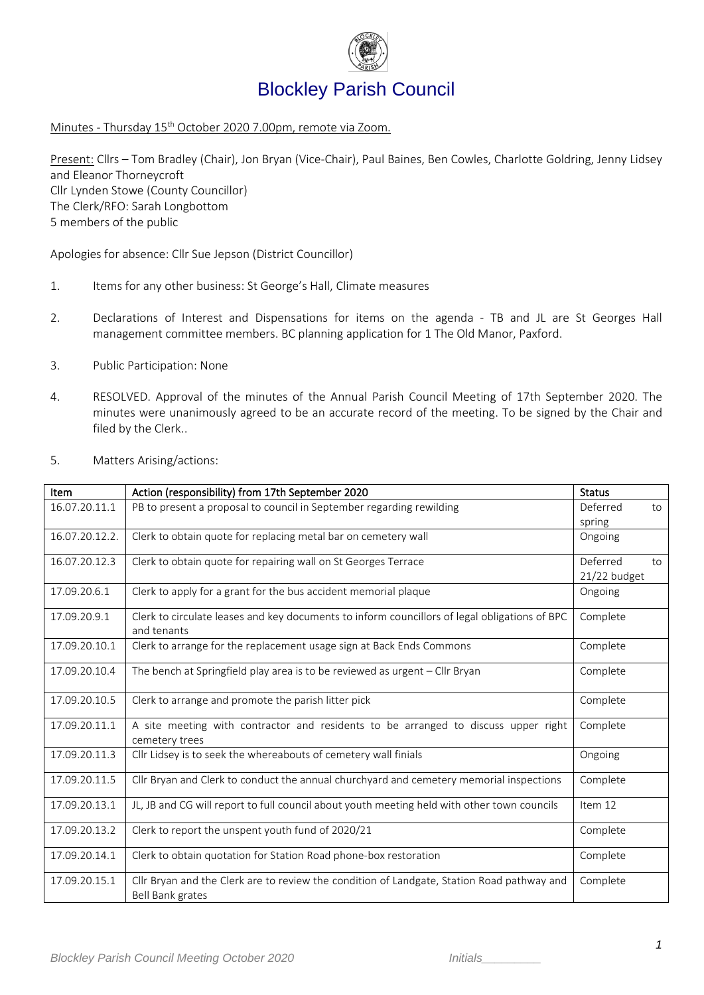

Minutes - Thursday 15 th October 2020 7.00pm, remote via Zoom.

Present: Cllrs – Tom Bradley (Chair), Jon Bryan (Vice-Chair), Paul Baines, Ben Cowles, Charlotte Goldring, Jenny Lidsey and Eleanor Thorneycroft Cllr Lynden Stowe (County Councillor) The Clerk/RFO: Sarah Longbottom 5 members of the public

Apologies for absence: Cllr Sue Jepson (District Councillor)

- 1. Items for any other business: St George's Hall, Climate measures
- 2. Declarations of Interest and Dispensations for items on the agenda TB and JL are St Georges Hall management committee members. BC planning application for 1 The Old Manor, Paxford.
- 3. Public Participation: None
- 4. RESOLVED. Approval of the minutes of the Annual Parish Council Meeting of 17th September 2020. The minutes were unanimously agreed to be an accurate record of the meeting. To be signed by the Chair and filed by the Clerk..

| Item           | Action (responsibility) from 17th September 2020                                              | <b>Status</b>  |
|----------------|-----------------------------------------------------------------------------------------------|----------------|
| 16.07.20.11.1  | PB to present a proposal to council in September regarding rewilding                          | Deferred<br>to |
|                |                                                                                               | spring         |
| 16.07.20.12.2. | Clerk to obtain quote for replacing metal bar on cemetery wall                                | Ongoing        |
|                |                                                                                               |                |
| 16.07.20.12.3  | Clerk to obtain quote for repairing wall on St Georges Terrace                                | Deferred<br>to |
|                |                                                                                               | 21/22 budget   |
| 17.09.20.6.1   | Clerk to apply for a grant for the bus accident memorial plaque                               | Ongoing        |
|                |                                                                                               |                |
| 17.09.20.9.1   | Clerk to circulate leases and key documents to inform councillors of legal obligations of BPC | Complete       |
|                | and tenants                                                                                   |                |
| 17.09.20.10.1  | Clerk to arrange for the replacement usage sign at Back Ends Commons                          | Complete       |
|                |                                                                                               |                |
| 17.09.20.10.4  | The bench at Springfield play area is to be reviewed as urgent - Cllr Bryan                   | Complete       |
|                |                                                                                               |                |
| 17.09.20.10.5  | Clerk to arrange and promote the parish litter pick                                           | Complete       |
|                |                                                                                               |                |
| 17.09.20.11.1  | A site meeting with contractor and residents to be arranged to discuss upper right            | Complete       |
|                | cemetery trees                                                                                |                |
| 17.09.20.11.3  | Cllr Lidsey is to seek the whereabouts of cemetery wall finials                               | Ongoing        |
|                |                                                                                               |                |
| 17.09.20.11.5  | Cllr Bryan and Clerk to conduct the annual churchyard and cemetery memorial inspections       | Complete       |
|                |                                                                                               |                |
| 17.09.20.13.1  | JL, JB and CG will report to full council about youth meeting held with other town councils   | Item 12        |
| 17.09.20.13.2  | Clerk to report the unspent youth fund of 2020/21                                             | Complete       |
|                |                                                                                               |                |
| 17.09.20.14.1  | Clerk to obtain quotation for Station Road phone-box restoration                              | Complete       |
|                |                                                                                               |                |
| 17.09.20.15.1  | Cllr Bryan and the Clerk are to review the condition of Landgate, Station Road pathway and    | Complete       |
|                | Bell Bank grates                                                                              |                |
|                |                                                                                               |                |

5. Matters Arising/actions: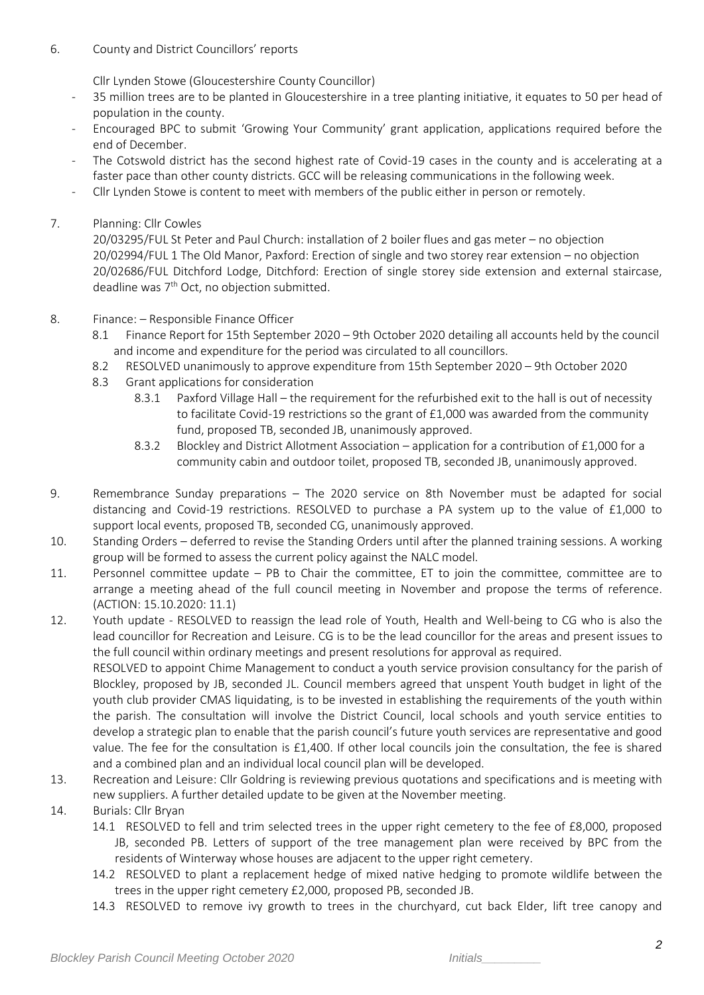## 6. County and District Councillors' reports

Cllr Lynden Stowe (Gloucestershire County Councillor)

- 35 million trees are to be planted in Gloucestershire in a tree planting initiative, it equates to 50 per head of population in the county.
- Encouraged BPC to submit 'Growing Your Community' grant application, applications required before the end of December.
- The Cotswold district has the second highest rate of Covid-19 cases in the county and is accelerating at a faster pace than other county districts. GCC will be releasing communications in the following week.
- Cllr Lynden Stowe is content to meet with members of the public either in person or remotely.
- 7. Planning: Cllr Cowles

20/03295/FUL St Peter and Paul Church: installation of 2 boiler flues and gas meter – no objection 20/02994/FUL 1 The Old Manor, Paxford: Erection of single and two storey rear extension – no objection 20/02686/FUL Ditchford Lodge, Ditchford: Erection of single storey side extension and external staircase, deadline was  $7<sup>th</sup>$  Oct, no objection submitted.

- 8. Finance: Responsible Finance Officer
	- 8.1 Finance Report for 15th September 2020 9th October 2020 detailing all accounts held by the council and income and expenditure for the period was circulated to all councillors.
	- 8.2 RESOLVED unanimously to approve expenditure from 15th September 2020 9th October 2020
	- 8.3 Grant applications for consideration
		- 8.3.1 Paxford Village Hall the requirement for the refurbished exit to the hall is out of necessity to facilitate Covid-19 restrictions so the grant of £1,000 was awarded from the community fund, proposed TB, seconded JB, unanimously approved.
		- 8.3.2 Blockley and District Allotment Association application for a contribution of £1,000 for a community cabin and outdoor toilet, proposed TB, seconded JB, unanimously approved.
- 9. Remembrance Sunday preparations The 2020 service on 8th November must be adapted for social distancing and Covid-19 restrictions. RESOLVED to purchase a PA system up to the value of £1,000 to support local events, proposed TB, seconded CG, unanimously approved.
- 10. Standing Orders deferred to revise the Standing Orders until after the planned training sessions. A working group will be formed to assess the current policy against the NALC model.
- 11. Personnel committee update PB to Chair the committee, ET to join the committee, committee are to arrange a meeting ahead of the full council meeting in November and propose the terms of reference. (ACTION: 15.10.2020: 11.1)

12. Youth update - RESOLVED to reassign the lead role of Youth, Health and Well-being to CG who is also the lead councillor for Recreation and Leisure. CG is to be the lead councillor for the areas and present issues to the full council within ordinary meetings and present resolutions for approval as required. RESOLVED to appoint Chime Management to conduct a youth service provision consultancy for the parish of Blockley, proposed by JB, seconded JL. Council members agreed that unspent Youth budget in light of the youth club provider CMAS liquidating, is to be invested in establishing the requirements of the youth within the parish. The consultation will involve the District Council, local schools and youth service entities to

- develop a strategic plan to enable that the parish council's future youth services are representative and good value. The fee for the consultation is £1,400. If other local councils join the consultation, the fee is shared and a combined plan and an individual local council plan will be developed.
- 13. Recreation and Leisure: Cllr Goldring is reviewing previous quotations and specifications and is meeting with new suppliers. A further detailed update to be given at the November meeting.
- 14. Burials: Cllr Bryan
	- 14.1 RESOLVED to fell and trim selected trees in the upper right cemetery to the fee of £8,000, proposed JB, seconded PB. Letters of support of the tree management plan were received by BPC from the residents of Winterway whose houses are adjacent to the upper right cemetery.
	- 14.2 RESOLVED to plant a replacement hedge of mixed native hedging to promote wildlife between the trees in the upper right cemetery £2,000, proposed PB, seconded JB.
	- 14.3 RESOLVED to remove ivy growth to trees in the churchyard, cut back Elder, lift tree canopy and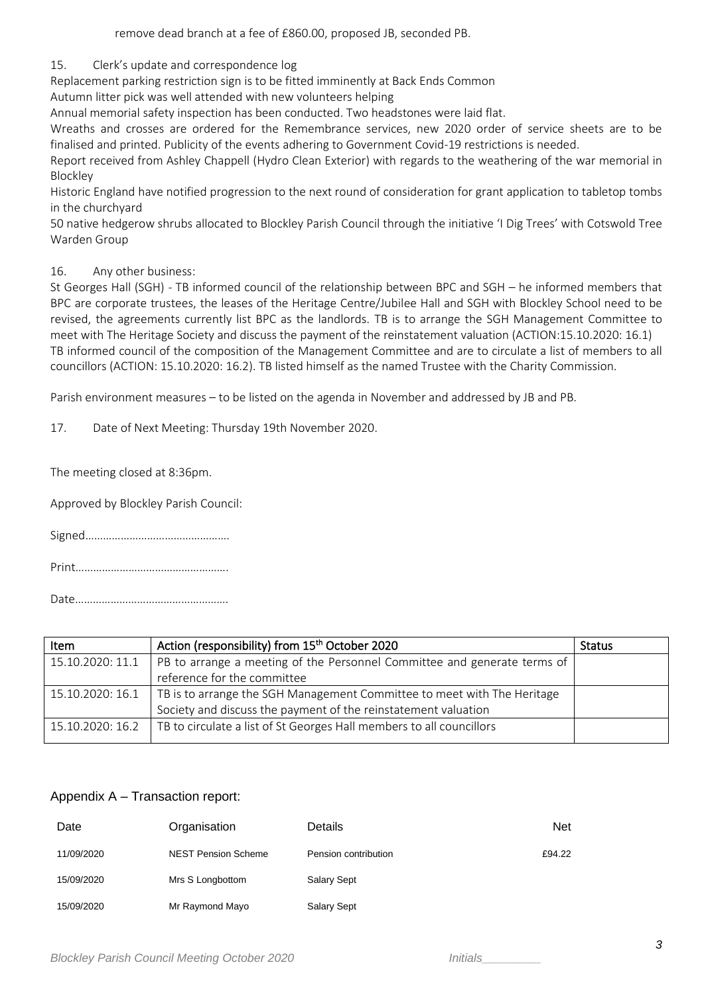remove dead branch at a fee of £860.00, proposed JB, seconded PB.

15. Clerk's update and correspondence log

Replacement parking restriction sign is to be fitted imminently at Back Ends Common

Autumn litter pick was well attended with new volunteers helping

Annual memorial safety inspection has been conducted. Two headstones were laid flat.

Wreaths and crosses are ordered for the Remembrance services, new 2020 order of service sheets are to be finalised and printed. Publicity of the events adhering to Government Covid-19 restrictions is needed.

Report received from Ashley Chappell (Hydro Clean Exterior) with regards to the weathering of the war memorial in Blockley

Historic England have notified progression to the next round of consideration for grant application to tabletop tombs in the churchyard

50 native hedgerow shrubs allocated to Blockley Parish Council through the initiative 'I Dig Trees' with Cotswold Tree Warden Group

## 16. Any other business:

St Georges Hall (SGH) - TB informed council of the relationship between BPC and SGH – he informed members that BPC are corporate trustees, the leases of the Heritage Centre/Jubilee Hall and SGH with Blockley School need to be revised, the agreements currently list BPC as the landlords. TB is to arrange the SGH Management Committee to meet with The Heritage Society and discuss the payment of the reinstatement valuation (ACTION:15.10.2020: 16.1) TB informed council of the composition of the Management Committee and are to circulate a list of members to all councillors (ACTION: 15.10.2020: 16.2). TB listed himself as the named Trustee with the Charity Commission.

Parish environment measures – to be listed on the agenda in November and addressed by JB and PB.

17. Date of Next Meeting: Thursday 19th November 2020.

The meeting closed at 8:36pm.

Approved by Blockley Parish Council:

Signed………………………………………….

Print…………………………………………….

Date…………………………………………….

| Item             | Action (responsibility) from 15 <sup>th</sup> October 2020               | <b>Status</b> |
|------------------|--------------------------------------------------------------------------|---------------|
| 15.10.2020: 11.1 | PB to arrange a meeting of the Personnel Committee and generate terms of |               |
|                  | reference for the committee                                              |               |
| 15.10.2020: 16.1 | TB is to arrange the SGH Management Committee to meet with The Heritage  |               |
|                  | Society and discuss the payment of the reinstatement valuation           |               |
| 15.10.2020: 16.2 | TB to circulate a list of St Georges Hall members to all councillors     |               |

## Appendix A – Transaction report:

| Date       | Organisation               | <b>Details</b>       | <b>Net</b> |
|------------|----------------------------|----------------------|------------|
| 11/09/2020 | <b>NEST Pension Scheme</b> | Pension contribution | £94.22     |
| 15/09/2020 | Mrs S Longbottom           | <b>Salary Sept</b>   |            |
| 15/09/2020 | Mr Raymond Mayo            | <b>Salary Sept</b>   |            |